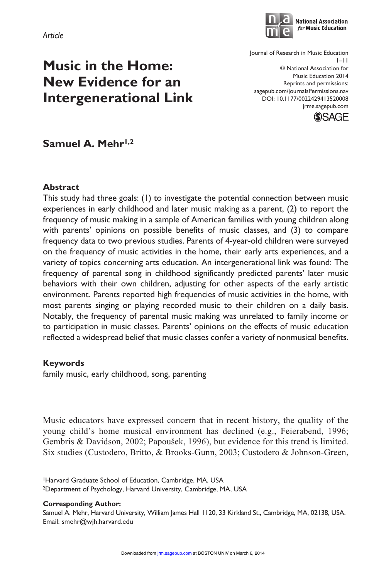

**National Association** for Music Education

**Music in the Home: New Evidence for an Intergenerational Link** Journal of Research in Music Education 1–11 © National Association for Music Education 2014 Reprints and permissions: sagepub.com/journalsPermissions.nav DOI: 10.1177/0022429413520008 jrme.sagepub.com



Samuel A. Mehr<sup>1,2</sup>

## **Abstract**

This study had three goals: (1) to investigate the potential connection between music experiences in early childhood and later music making as a parent, (2) to report the frequency of music making in a sample of American families with young children along with parents' opinions on possible benefits of music classes, and (3) to compare frequency data to two previous studies. Parents of 4-year-old children were surveyed on the frequency of music activities in the home, their early arts experiences, and a variety of topics concerning arts education. An intergenerational link was found: The frequency of parental song in childhood significantly predicted parents' later music behaviors with their own children, adjusting for other aspects of the early artistic environment. Parents reported high frequencies of music activities in the home, with most parents singing or playing recorded music to their children on a daily basis. Notably, the frequency of parental music making was unrelated to family income or to participation in music classes. Parents' opinions on the effects of music education reflected a widespread belief that music classes confer a variety of nonmusical benefits.

## **Keywords**

family music, early childhood, song, parenting

Music educators have expressed concern that in recent history, the quality of the young child's home musical environment has declined (e.g., Feierabend, 1996; Gembris & Davidson, 2002; Papoušek, 1996), but evidence for this trend is limited. Six studies (Custodero, Britto, & Brooks-Gunn, 2003; Custodero & Johnson-Green,

1Harvard Graduate School of Education, Cambridge, MA, USA 2Department of Psychology, Harvard University, Cambridge, MA, USA

**Corresponding Author:**

Samuel A. Mehr, Harvard University, William James Hall 1120, 33 Kirkland St., Cambridge, MA, 02138, USA. Email: smehr@wjh.harvard.edu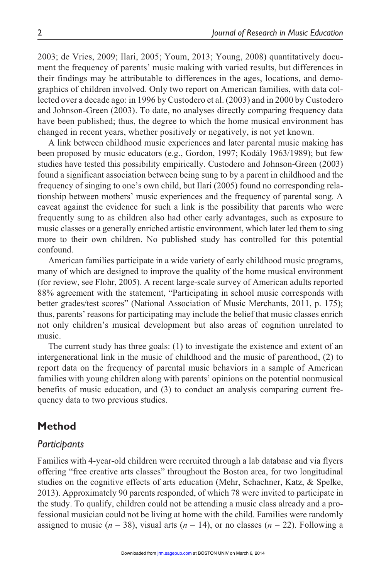2003; de Vries, 2009; Ilari, 2005; Youm, 2013; Young, 2008) quantitatively document the frequency of parents' music making with varied results, but differences in their findings may be attributable to differences in the ages, locations, and demographics of children involved. Only two report on American families, with data collected over a decade ago: in 1996 by Custodero et al. (2003) and in 2000 by Custodero and Johnson-Green (2003). To date, no analyses directly comparing frequency data have been published; thus, the degree to which the home musical environment has changed in recent years, whether positively or negatively, is not yet known.

A link between childhood music experiences and later parental music making has been proposed by music educators (e.g., Gordon, 1997; Kodály 1963/1989); but few studies have tested this possibility empirically. Custodero and Johnson-Green (2003) found a significant association between being sung to by a parent in childhood and the frequency of singing to one's own child, but Ilari (2005) found no corresponding relationship between mothers' music experiences and the frequency of parental song. A caveat against the evidence for such a link is the possibility that parents who were frequently sung to as children also had other early advantages, such as exposure to music classes or a generally enriched artistic environment, which later led them to sing more to their own children. No published study has controlled for this potential confound.

American families participate in a wide variety of early childhood music programs, many of which are designed to improve the quality of the home musical environment (for review, see Flohr, 2005). A recent large-scale survey of American adults reported 88% agreement with the statement, "Participating in school music corresponds with better grades/test scores" (National Association of Music Merchants, 2011, p. 175); thus, parents' reasons for participating may include the belief that music classes enrich not only children's musical development but also areas of cognition unrelated to music.

The current study has three goals: (1) to investigate the existence and extent of an intergenerational link in the music of childhood and the music of parenthood, (2) to report data on the frequency of parental music behaviors in a sample of American families with young children along with parents' opinions on the potential nonmusical benefits of music education, and (3) to conduct an analysis comparing current frequency data to two previous studies.

## **Method**

### *Participants*

Families with 4-year-old children were recruited through a lab database and via flyers offering "free creative arts classes" throughout the Boston area, for two longitudinal studies on the cognitive effects of arts education (Mehr, Schachner, Katz, & Spelke, 2013). Approximately 90 parents responded, of which 78 were invited to participate in the study. To qualify, children could not be attending a music class already and a professional musician could not be living at home with the child. Families were randomly assigned to music  $(n = 38)$ , visual arts  $(n = 14)$ , o[r no classe](http://jrm.sagepub.com/)s  $(n = 22)$ . Following a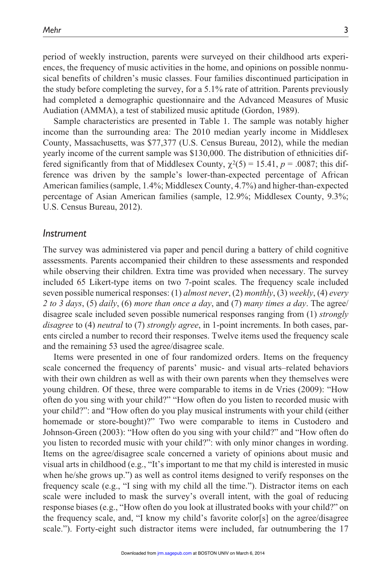period of weekly instruction, parents were surveyed on their childhood arts experiences, the frequency of music activities in the home, and opinions on possible nonmusical benefits of children's music classes. Four families discontinued participation in the study before completing the survey, for a 5.1% rate of attrition. Parents previously had completed a demographic questionnaire and the Advanced Measures of Music Audiation (AMMA), a test of stabilized music aptitude (Gordon, 1989).

Sample characteristics are presented in Table 1. The sample was notably higher income than the surrounding area: The 2010 median yearly income in Middlesex County, Massachusetts, was \$77,377 (U.S. Census Bureau, 2012), while the median yearly income of the current sample was \$130,000. The distribution of ethnicities differed significantly from that of Middlesex County,  $\chi^2(5) = 15.41$ ,  $p = .0087$ ; this difference was driven by the sample's lower-than-expected percentage of African American families (sample, 1.4%; Middlesex County, 4.7%) and higher-than-expected percentage of Asian American families (sample, 12.9%; Middlesex County, 9.3%; U.S. Census Bureau, 2012).

#### *Instrument*

The survey was administered via paper and pencil during a battery of child cognitive assessments. Parents accompanied their children to these assessments and responded while observing their children. Extra time was provided when necessary. The survey included 65 Likert-type items on two 7-point scales. The frequency scale included seven possible numerical responses: (1) *almost never*, (2) *monthly*, (3) *weekly*, (4) *every 2 to 3 days*, (5) *daily*, (6) *more than once a day*, and (7) *many times a day*. The agree/ disagree scale included seven possible numerical responses ranging from (1) *strongly disagree* to (4) *neutral* to (7) *strongly agree*, in 1-point increments. In both cases, parents circled a number to record their responses. Twelve items used the frequency scale and the remaining 53 used the agree/disagree scale.

Items were presented in one of four randomized orders. Items on the frequency scale concerned the frequency of parents' music- and visual arts–related behaviors with their own children as well as with their own parents when they themselves were young children. Of these, three were comparable to items in de Vries (2009): "How often do you sing with your child?" "How often do you listen to recorded music with your child?": and "How often do you play musical instruments with your child (either homemade or store-bought)?" Two were comparable to items in Custodero and Johnson-Green (2003): "How often do you sing with your child?" and "How often do you listen to recorded music with your child?": with only minor changes in wording. Items on the agree/disagree scale concerned a variety of opinions about music and visual arts in childhood (e.g., "It's important to me that my child is interested in music when he/she grows up.") as well as control items designed to verify responses on the frequency scale (e.g., "I sing with my child all the time."). Distractor items on each scale were included to mask the survey's overall intent, with the goal of reducing response biases (e.g., "How often do you look at illustrated books with your child?" on the frequency scale, and, "I know my child's favorite color[s] on the agree/disagree scale."). Forty-eight such distractor items were [included, f](http://jrm.sagepub.com/)ar outnumbering the 17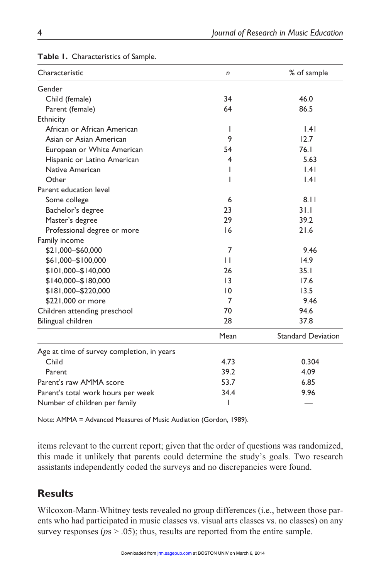| Characteristic                             | n                | % of sample               |  |  |
|--------------------------------------------|------------------|---------------------------|--|--|
| Gender                                     |                  |                           |  |  |
| Child (female)                             | 34               | 46.0                      |  |  |
| Parent (female)                            | 64               | 86.5                      |  |  |
| Ethnicity                                  |                  |                           |  |  |
| African or African American                | $\mathsf{I}$     | 1.41                      |  |  |
| Asian or Asian American                    | 9                | 12.7                      |  |  |
| European or White American                 | 54               | 76.1                      |  |  |
| Hispanic or Latino American                | 4                | 5.63                      |  |  |
| Native American                            | 1.41<br><b>I</b> |                           |  |  |
| Other                                      | <b>I</b>         | 1.41                      |  |  |
| Parent education level                     |                  |                           |  |  |
| Some college                               | 6                | 8.11                      |  |  |
| Bachelor's degree                          | 23               | 31.1                      |  |  |
| Master's degree                            | 29               | 39.2                      |  |  |
| Professional degree or more                | 16               | 21.6                      |  |  |
| Family income                              |                  |                           |  |  |
| \$21,000-\$60,000                          | 7                | 9.46                      |  |  |
| \$61,000-\$100,000                         | $\mathbf{1}$     | 14.9                      |  |  |
| \$101,000-\$140,000                        | 26               | 35.1                      |  |  |
| \$140,000 - \$180,000                      | 13               | 17.6                      |  |  |
| \$181,000-\$220,000                        | $\overline{10}$  | 13.5                      |  |  |
| \$221,000 or more                          | $\overline{7}$   | 9.46                      |  |  |
| Children attending preschool               | 70               | 94.6                      |  |  |
| Bilingual children                         | 28               | 37.8                      |  |  |
|                                            | Mean             | <b>Standard Deviation</b> |  |  |
| Age at time of survey completion, in years |                  |                           |  |  |
| Child                                      | 4.73             | 0.304                     |  |  |
| Parent                                     | 39.2             | 4.09                      |  |  |
| Parent's raw AMMA score                    | 53.7             | 6.85                      |  |  |
| Parent's total work hours per week         | 34.4             | 9.96                      |  |  |
| Number of children per family              | ı                |                           |  |  |

#### **Table 1.** Characteristics of Sample.

Note: AMMA = Advanced Measures of Music Audiation (Gordon, 1989).

items relevant to the current report; given that the order of questions was randomized, this made it unlikely that parents could determine the study's goals. Two research assistants independently coded the surveys and no discrepancies were found.

# **Results**

Wilcoxon-Mann-Whitney tests revealed no group differences (i.e., between those parents who had participated in music classes vs. visu[al arts classe](http://jrm.sagepub.com/)s vs. no classes) on any survey responses ( $p_s$   $>$  .05); thus, results are reported from the entire sample.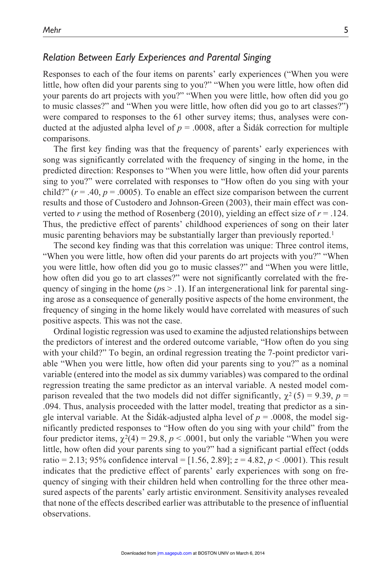## *Relation Between Early Experiences and Parental Singing*

Responses to each of the four items on parents' early experiences ("When you were little, how often did your parents sing to you?" "When you were little, how often did your parents do art projects with you?" "When you were little, how often did you go to music classes?" and "When you were little, how often did you go to art classes?") were compared to responses to the 61 other survey items; thus, analyses were conducted at the adjusted alpha level of  $p = .0008$ , after a Stdák correction for multiple comparisons.

The first key finding was that the frequency of parents' early experiences with song was significantly correlated with the frequency of singing in the home, in the predicted direction: Responses to "When you were little, how often did your parents sing to you?" were correlated with responses to "How often do you sing with your child?"  $(r = .40, p = .0005)$ . To enable an effect size comparison between the current results and those of Custodero and Johnson-Green (2003), their main effect was converted to *r* using the method of Rosenberg (2010), yielding an effect size of  $r = .124$ . Thus, the predictive effect of parents' childhood experiences of song on their later music parenting behaviors may be substantially larger than previously reported.<sup>1</sup>

The second key finding was that this correlation was unique: Three control items, "When you were little, how often did your parents do art projects with you?" "When you were little, how often did you go to music classes?" and "When you were little, how often did you go to art classes?" were not significantly correlated with the frequency of singing in the home ( $p_s$  > .1). If an intergenerational link for parental singing arose as a consequence of generally positive aspects of the home environment, the frequency of singing in the home likely would have correlated with measures of such positive aspects. This was not the case.

Ordinal logistic regression was used to examine the adjusted relationships between the predictors of interest and the ordered outcome variable, "How often do you sing with your child?" To begin, an ordinal regression treating the 7-point predictor variable "When you were little, how often did your parents sing to you?" as a nominal variable (entered into the model as six dummy variables) was compared to the ordinal regression treating the same predictor as an interval variable. A nested model comparison revealed that the two models did not differ significantly,  $\chi^2$  (5) = 9.39, *p* = .094. Thus, analysis proceeded with the latter model, treating that predictor as a single interval variable. At the Šidák-adjusted alpha level of  $p = .0008$ , the model significantly predicted responses to "How often do you sing with your child" from the four predictor items,  $\chi^2(4) = 29.8$ ,  $p < .0001$ , but only the variable "When you were little, how often did your parents sing to you?" had a significant partial effect (odds ratio = 2.13; 95% confidence interval =  $[1.56, 2.89]$ ;  $z = 4.82$ ,  $p < .0001$ ). This result indicates that the predictive effect of parents' early experiences with song on frequency of singing with their children held when controlling for the three other measured aspects of the parents' early artistic environment. Sensitivity analyses revealed that none of the effects described earlier was attributable to the presence of influential observations.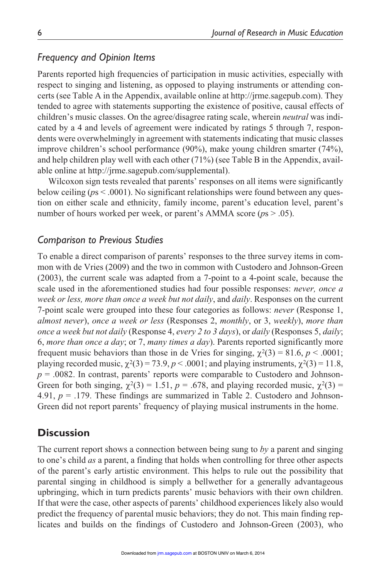### *Frequency and Opinion Items*

Parents reported high frequencies of participation in music activities, especially with respect to singing and listening, as opposed to playing instruments or attending concerts (see Table A in the Appendix, available online at http://jrme.sagepub.com). They tended to agree with statements supporting the existence of positive, causal effects of children's music classes. On the agree/disagree rating scale, wherein *neutral* was indicated by a 4 and levels of agreement were indicated by ratings 5 through 7, respondents were overwhelmingly in agreement with statements indicating that music classes improve children's school performance (90%), make young children smarter (74%), and help children play well with each other (71%) (see Table B in the Appendix, available online at http://jrme.sagepub.com/supplemental).

Wilcoxon sign tests revealed that parents' responses on all items were significantly below ceiling ( $ps < .0001$ ). No significant relationships were found between any question on either scale and ethnicity, family income, parent's education level, parent's number of hours worked per week, or parent's AMMA score ( $p_s > .05$ ).

## *Comparison to Previous Studies*

To enable a direct comparison of parents' responses to the three survey items in common with de Vries (2009) and the two in common with Custodero and Johnson-Green (2003), the current scale was adapted from a 7-point to a 4-point scale, because the scale used in the aforementioned studies had four possible responses: *never, once a week or less, more than once a week but not daily*, and *daily*. Responses on the current 7-point scale were grouped into these four categories as follows: *never* (Response 1, *almost never*), *once a week or less* (Responses 2, *monthly*, or 3, *weekly*), *more than once a week but not daily* (Response 4, *every 2 to 3 days*), or *daily* (Responses 5, *daily*; 6, *more than once a day*; or 7, *many times a day*). Parents reported significantly more frequent music behaviors than those in de Vries for singing,  $\chi^2(3) = 81.6$ ,  $p < .0001$ ; playing recorded music,  $\chi^2(3) = 73.9$ ,  $p < .0001$ ; and playing instruments,  $\chi^2(3) = 11.8$ ,  $p = 0.0082$ . In contrast, parents' reports were comparable to Custodero and Johnson-Green for both singing,  $\chi^2(3) = 1.51$ ,  $p = .678$ , and playing recorded music,  $\chi^2(3) =$ 4.91,  $p = .179$ . These findings are summarized in Table 2. Custodero and Johnson-Green did not report parents' frequency of playing musical instruments in the home.

## **Discussion**

The current report shows a connection between being sung to *by* a parent and singing to one's child *as* a parent, a finding that holds when controlling for three other aspects of the parent's early artistic environment. This helps to rule out the possibility that parental singing in childhood is simply a bellwether for a generally advantageous upbringing, which in turn predicts parents' music behaviors with their own children. If that were the case, other aspects of parents' childhood experiences likely also would predict the frequency of parental music behaviors; they do not. This main finding replicates and builds on the findings of Custodero [and Johns](http://jrm.sagepub.com/)on-Green (2003), who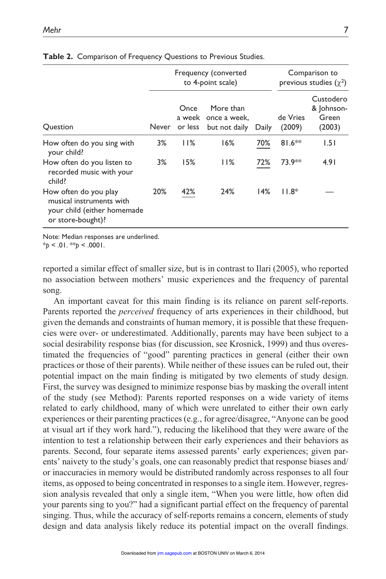|                                                                                                       | Frequency (converted<br>to 4-point scale) |      |                                                           |       | Comparison to<br>previous studies $(\chi^2)$ |                                            |
|-------------------------------------------------------------------------------------------------------|-------------------------------------------|------|-----------------------------------------------------------|-------|----------------------------------------------|--------------------------------------------|
| <b>Ouestion</b>                                                                                       | Never                                     | Once | More than<br>a week once a week.<br>or less but not daily | Daily | de Vries<br>(2009)                           | Custodero<br>& Johnson-<br>Green<br>(2003) |
| How often do you sing with<br>your child?                                                             | 3%                                        | 11%  | 16%                                                       | 70%   | $81.6**$                                     | 1.51                                       |
| How often do you listen to<br>recorded music with your<br>child?                                      | 3%                                        | 15%  | 11%                                                       | 72%   | 73.9**                                       | 4.91                                       |
| How often do you play<br>musical instruments with<br>your child (either homemade<br>or store-bought)? | 20%                                       | 42%  | 24%                                                       | 14%   | $11.8*$                                      |                                            |

#### **Table 2.** Comparison of Frequency Questions to Previous Studies.

Note: Median responses are underlined.

\**p* < .01. \*\**p* < .0001.

reported a similar effect of smaller size, but is in contrast to Ilari (2005), who reported no association between mothers' music experiences and the frequency of parental song.

An important caveat for this main finding is its reliance on parent self-reports. Parents reported the *perceived* frequency of arts experiences in their childhood, but given the demands and constraints of human memory, it is possible that these frequencies were over- or underestimated. Additionally, parents may have been subject to a social desirability response bias (for discussion, see Krosnick, 1999) and thus overestimated the frequencies of "good" parenting practices in general (either their own practices or those of their parents). While neither of these issues can be ruled out, their potential impact on the main finding is mitigated by two elements of study design. First, the survey was designed to minimize response bias by masking the overall intent of the study (see Method): Parents reported responses on a wide variety of items related to early childhood, many of which were unrelated to either their own early experiences or their parenting practices (e.g., for agree/disagree, "Anyone can be good at visual art if they work hard."), reducing the likelihood that they were aware of the intention to test a relationship between their early experiences and their behaviors as parents. Second, four separate items assessed parents' early experiences; given parents' naivety to the study's goals, one can reasonably predict that response biases and/ or inaccuracies in memory would be distributed randomly across responses to all four items, as opposed to being concentrated in responses to a single item. However, regression analysis revealed that only a single item, "When you were little, how often did your parents sing to you?" had a significant partial effect on the frequency of parental singing. Thus, while the accuracy of self-reports remains a concern, elements of study design and data analysis likely reduce its poten[tial impact](http://jrm.sagepub.com/) on the overall findings.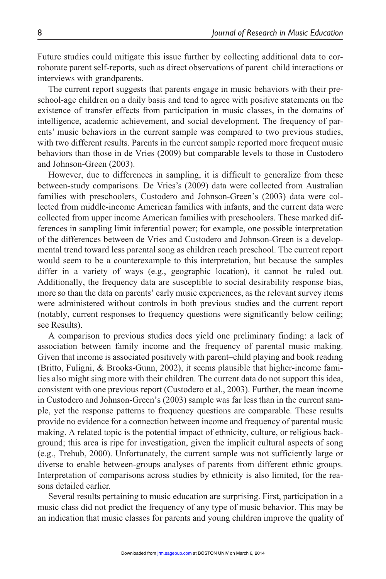Future studies could mitigate this issue further by collecting additional data to corroborate parent self-reports, such as direct observations of parent–child interactions or interviews with grandparents.

The current report suggests that parents engage in music behaviors with their preschool-age children on a daily basis and tend to agree with positive statements on the existence of transfer effects from participation in music classes, in the domains of intelligence, academic achievement, and social development. The frequency of parents' music behaviors in the current sample was compared to two previous studies, with two different results. Parents in the current sample reported more frequent music behaviors than those in de Vries (2009) but comparable levels to those in Custodero and Johnson-Green (2003).

However, due to differences in sampling, it is difficult to generalize from these between-study comparisons. De Vries's (2009) data were collected from Australian families with preschoolers, Custodero and Johnson-Green's (2003) data were collected from middle-income American families with infants, and the current data were collected from upper income American families with preschoolers. These marked differences in sampling limit inferential power; for example, one possible interpretation of the differences between de Vries and Custodero and Johnson-Green is a developmental trend toward less parental song as children reach preschool. The current report would seem to be a counterexample to this interpretation, but because the samples differ in a variety of ways (e.g., geographic location), it cannot be ruled out. Additionally, the frequency data are susceptible to social desirability response bias, more so than the data on parents' early music experiences, as the relevant survey items were administered without controls in both previous studies and the current report (notably, current responses to frequency questions were significantly below ceiling; see Results).

A comparison to previous studies does yield one preliminary finding: a lack of association between family income and the frequency of parental music making. Given that income is associated positively with parent–child playing and book reading (Britto, Fuligni, & Brooks-Gunn, 2002), it seems plausible that higher-income families also might sing more with their children. The current data do not support this idea, consistent with one previous report (Custodero et al., 2003). Further, the mean income in Custodero and Johnson-Green's (2003) sample was far less than in the current sample, yet the response patterns to frequency questions are comparable. These results provide no evidence for a connection between income and frequency of parental music making. A related topic is the potential impact of ethnicity, culture, or religious background; this area is ripe for investigation, given the implicit cultural aspects of song (e.g., Trehub, 2000). Unfortunately, the current sample was not sufficiently large or diverse to enable between-groups analyses of parents from different ethnic groups. Interpretation of comparisons across studies by ethnicity is also limited, for the reasons detailed earlier.

Several results pertaining to music education are surprising. First, participation in a music class did not predict the frequency of any type of music behavior. This may be an indication that music classes for parents and yo[ung children](http://jrm.sagepub.com/) improve the quality of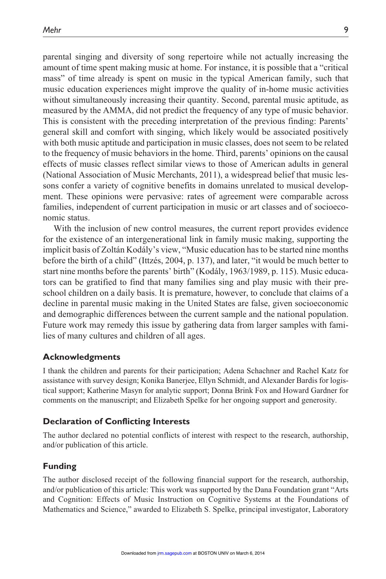parental singing and diversity of song repertoire while not actually increasing the amount of time spent making music at home. For instance, it is possible that a "critical mass" of time already is spent on music in the typical American family, such that music education experiences might improve the quality of in-home music activities without simultaneously increasing their quantity. Second, parental music aptitude, as measured by the AMMA, did not predict the frequency of any type of music behavior. This is consistent with the preceding interpretation of the previous finding: Parents' general skill and comfort with singing, which likely would be associated positively with both music aptitude and participation in music classes, does not seem to be related to the frequency of music behaviors in the home. Third, parents' opinions on the causal effects of music classes reflect similar views to those of American adults in general (National Association of Music Merchants, 2011), a widespread belief that music lessons confer a variety of cognitive benefits in domains unrelated to musical development. These opinions were pervasive: rates of agreement were comparable across families, independent of current participation in music or art classes and of socioeconomic status.

With the inclusion of new control measures, the current report provides evidence for the existence of an intergenerational link in family music making, supporting the implicit basis of Zoltán Kodály's view, "Music education has to be started nine months before the birth of a child" (Ittzés, 2004, p. 137), and later, "it would be much better to start nine months before the parents' birth" (Kodály, 1963/1989, p. 115). Music educators can be gratified to find that many families sing and play music with their preschool children on a daily basis. It is premature, however, to conclude that claims of a decline in parental music making in the United States are false, given socioeconomic and demographic differences between the current sample and the national population. Future work may remedy this issue by gathering data from larger samples with families of many cultures and children of all ages.

#### **Acknowledgments**

I thank the children and parents for their participation; Adena Schachner and Rachel Katz for assistance with survey design; Konika Banerjee, Ellyn Schmidt, and Alexander Bardis for logistical support; Katherine Masyn for analytic support; Donna Brink Fox and Howard Gardner for comments on the manuscript; and Elizabeth Spelke for her ongoing support and generosity.

### **Declaration of Conflicting Interests**

The author declared no potential conflicts of interest with respect to the research, authorship, and/or publication of this article.

#### **Funding**

The author disclosed receipt of the following financial support for the research, authorship, and/or publication of this article: This work was supported by the Dana Foundation grant "Arts and Cognition: Effects of Music Instruction on Cognitive Systems at the Foundations of Mathematics and Science," awarded to Elizabeth S. Spelke, principal investigator, Laboratory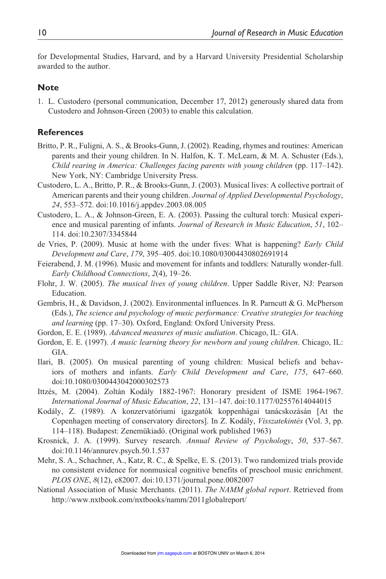for Developmental Studies, Harvard, and by a Harvard University Presidential Scholarship awarded to the author.

#### **Note**

1. L. Custodero (personal communication, December 17, 2012) generously shared data from Custodero and Johnson-Green (2003) to enable this calculation.

### **References**

- Britto, P. R., Fuligni, A. S., & Brooks-Gunn, J. (2002). Reading, rhymes and routines: American parents and their young children. In N. Halfon, K. T. McLearn, & M. A. Schuster (Eds.), *Child rearing in America: Challenges facing parents with young children* (pp. 117–142). New York, NY: Cambridge University Press.
- Custodero, L. A., Britto, P. R., & Brooks-Gunn, J. (2003). Musical lives: A collective portrait of American parents and their young children. *Journal of Applied Developmental Psychology*, *24*, 553–572. doi:10.1016/j.appdev.2003.08.005
- Custodero, L. A., & Johnson-Green, E. A. (2003). Passing the cultural torch: Musical experience and musical parenting of infants. *Journal of Research in Music Education*, *51*, 102– 114. doi:10.2307/3345844
- de Vries, P. (2009). Music at home with the under fives: What is happening? *Early Child Development and Care*, *179*, 395–405. doi:10.1080/03004430802691914
- Feierabend, J. M. (1996). Music and movement for infants and toddlers: Naturally wonder-full. *Early Childhood Connections*, *2*(4), 19–26.
- Flohr, J. W. (2005). *The musical lives of young children*. Upper Saddle River, NJ: Pearson Education.
- Gembris, H., & Davidson, J. (2002). Environmental influences. In R. Parncutt & G. McPherson (Eds.), *The science and psychology of music performance: Creative strategies for teaching and learning* (pp. 17–30). Oxford, England: Oxford University Press.
- Gordon, E. E. (1989). *Advanced measures of music audiation*. Chicago, IL: GIA.
- Gordon, E. E. (1997). *A music learning theory for newborn and young children*. Chicago, IL: GIA.
- Ilari, B. (2005). On musical parenting of young children: Musical beliefs and behaviors of mothers and infants. *Early Child Development and Care*, *175*, 647–660. doi:10.1080/0300443042000302573
- Ittzés, M. (2004). Zoltán Kodály 1882-1967: Honorary president of ISME 1964-1967. *International Journal of Music Education*, *22*, 131–147. doi:10.1177/02557614044015
- Kodály, Z. (1989). A konzervatóriumi igazgatók koppenhágai tanácskozásán [At the Copenhagen meeting of conservatory directors]. In Z. Kodály, *Visszatekintés* (Vol. 3, pp. 114–118). Budapest: Zenemükiadó. (Original work published 1963)
- Krosnick, J. A. (1999). Survey research. *Annual Review of Psychology*, *50*, 537–567. doi:10.1146/annurev.psych.50.1.537
- Mehr, S. A., Schachner, A., Katz, R. C., & Spelke, E. S. (2013). Two randomized trials provide no consistent evidence for nonmusical cognitive benefits of preschool music enrichment. *PLOS ONE*, *8*(12), e82007. doi:10.1371/journal.pone.0082007
- National Association of Music Merchants. (2011). *The NAMM global report*. Retrieved from http://www.nxtbook.com/nxtbooks/namm/2011globalreport/